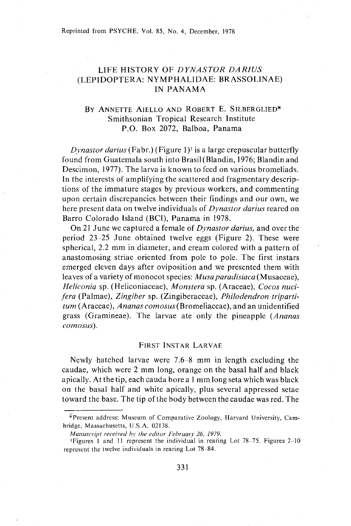Reprinted from PSYCHE, Vol. 85, No.4, December, 1978

# LIFE HISTORY OF *DYNASTOR DARIUS* (LEPIDOPTERA: NYMPHALIDAE: BRASSOLINAE) IN PANAMA

# BY ANNETTE AIELLO AND ROBERT E. SILBERGLIED\* Smithsonian Tropical Research Institute P.O. Box 2072, Balboa, Panama

*Dynastor darius* (Fabr.) (Figure 1)1 is a large crepuscular butterfly found from Guatemala south into Brasil (Blandin, 1976; Blandin and Descimon, 1977). The larva is known to feed on various bromeliads. In the interests of amplifying the scattered and fragmentary descriptions of the immature stages by previous workers, and commenting upon certain discrepancies between their findings and our own, we here present data on twelve individuals of *Dynastor darius* reared on Barro Colorado Island (BCI), Panama in 1978.

On 21 June we captured a female of *Dynastor darius*, and over the period 23-25 June obtained twelve eggs (Figure 2). These were spherical, 2.2 mm in diameter, and cream colored with a pattern of anastomosing striae oriented from pole to pole. The first instars emerged eleven days after oviposition and we presented them with leaves of a variety of monocot species: *Musa paradisiaca* (Musaceae), *Heliconia* sp. (Heliconiaceae), *Monstera* sp. (Araceae), *Cocos nucifera* (Palmae), *Zingiber* sp. (Zingiberaceae), *Philodendron tripartitum* (Araceae), *Ananas comosus*(Bromeliaceae), and an unidentified grass (Gramineae). The larvae ate only the pineapple *(Ananas comosus).*

#### FIRST INSTAR LARVAE

Newly hatched larvae were 7.6-8 mm in length excluding the caudae, which were 2 mm long, orange on the basal half and black apically. At the tip, each cauda bore a I mm long seta which was black on the basal half and white apically, plus several appressed setae toward the base. The tip of the body between the caudae was red. The

<sup>&#</sup>x27;Present address: Museum of Comparative Zoology, Harvard University, Cambridge, Massachusetts, U.S.A. 02138.

*Manuscript received by the editor February 26, 1979.* 

IFigures I and 11 represent the individual in rearing Lot 78-75. Figures 2-10 represent the twelve individuals in rearing Lot 78-84.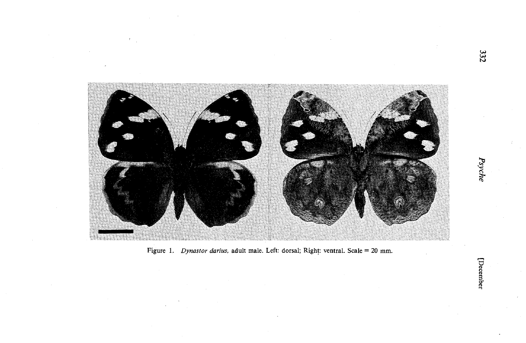

Figure 1. *Dynastor darius,* adult male. Left: dorsal; Right: ventral. Scale = 20 mm.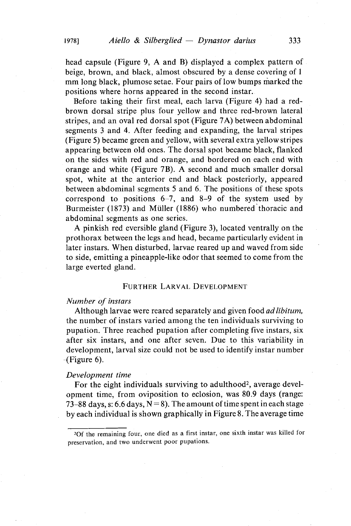head capsule (Figure 9, A and B) displayed a complex pattern of beige, brown, and black, almost obscured by a dense covering of 1 mm long black, plumose setae. Four pairs of low bumps marked the positions where horns appeared in the second instar.

Before taking their first meal, each larva (Figure 4) had a redbrown dorsal stripe plus four yellow and three red-brown lateral stripes, and an oval red dorsal spot (Figure 7A) between abdominal segments 3 and 4. After feeding and expanding, the larval stripes (Figure 5) became green and yellow, with several extra yellow stripes appearing between old ones. The dorsal spot became black, flanked on the sides with red and orange, and bordered on each end with orange and white (Figure 7B). A second and much smaller dorsal spot, white at the anterior end and black posteriorly, appeared between abdominal segments 5 and 6. The positions of these spots correspond to positions  $6-7$ , and  $8-9$  of the system used by Burmeister (1873) and Müller (1886) who numbered thoracic and abdominal segments as one series.

A pinkish red eversible gland (Figure 3), located ventrally on the prothorax between the legs and head, became particularly evident in later instars. When disturbed, larvae reared up and waved from side to side, emitting a pineapple-like odor that seemed to come from the large everted gland.

#### FURTHER LARVAL DEVELOPMENT

#### *Number of instars*

Although larvae were reared separately and given food *ad libitum,* the number of instars varied among the ten individuals surviving to pupation. Three reached pupation after completing five instars, six after six instars, and one after seven. Due to this variability in development, larval size could not be used to identify instar number  $-($ Figure 6).

#### *Development time*

For the eight individuals surviving to adulthood<sup>2</sup>, average development time, from oviposition to eclosion, was 80.9 days (range: 73–88 days, s: 6.6 days,  $N = 8$ ). The amount of time spent in each stage by each individual is shown graphically in Figure 8. The average time

<sup>&#</sup>x27;Of the remaining four, one died as a first instar, one sixth instar was killed for preservation, and two underwent poor pupations.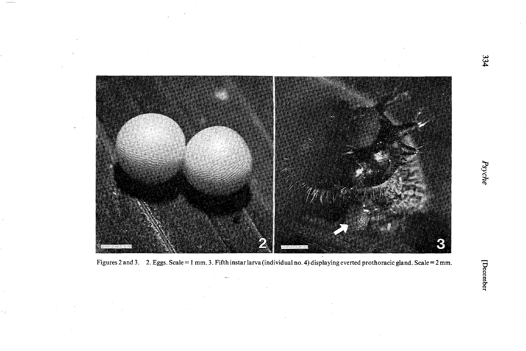

Figures 2 and 3. 2. Eggs. Scale = 1 mm. 3. Fifth instar larva (individual no. 4) displaying everted prothoracic gland. Scale = 2 mm.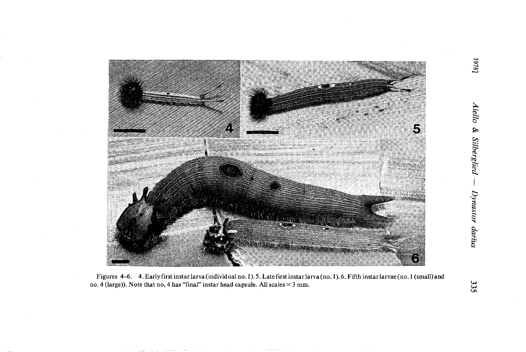

Figures 4-6. 4. Early first instarlarva(individual no. 1).5. Latefirst instarlarva(no. 1).6. Fifth instarlarvae(no. I (smaIl) and no. 4 (large)). Note that no, 4 has "final" instar head capsule. All scales = 3 mm.

335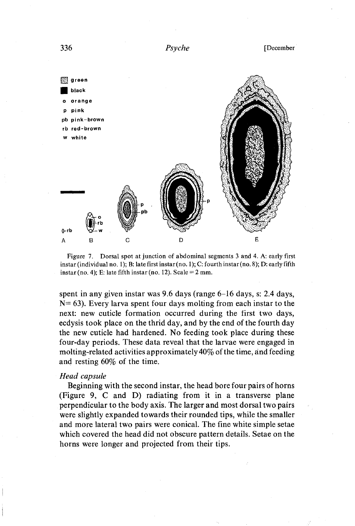

Figure 7. Dorsal spot at junction of abdominal segments 3 and 4. A: early first instar (individual no. I); B: latefirst instar(no. I); C: fourth instar(no. 8); D: early fifth instar (no. 4); E: late fifth instar (no. 12). Scale =  $2 \text{ mm}$ .

spent in any given instar was 9.6 days (range 6-16 days, s: 2.4 days,  $N = 63$ ). Every larva spent four days molting from each instar to the next: new cuticle formation occurred during the first two days, ecdysis took place on the thrid day, and by the end of the fourth day the new cuticle had hardened. No feeding took place during these four-day periods. These data reveal that the larvae were engaged in molting-related activities approximately  $40\%$  of the time, and feeding and resting 60% of the time.

## *Head capsule*

Beginning with the second instar, the head bore four pairs of horns (Figure 9, C and D) radiating from it in a transverse plane perpendicular to the body axis. The larger and most dorsal two pairs were slightly expanded towards their rounded tips, while the smaller and more lateral two pairs were conical. The fine white simple setae which covered the head did not obscure pattern details. Setae on the horns were longer and projected from their tips.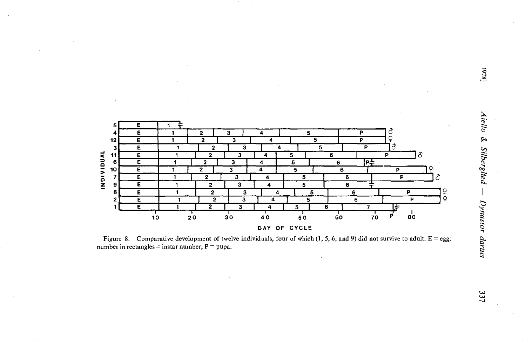

Figure 8. Comparative development of twelve individuals, four of which  $(1, 5, 6,$  and 9) did not survive to adult.  $E =$  egg; number in rectangles = instar number;  $P =$  pupa.

 $[8L61$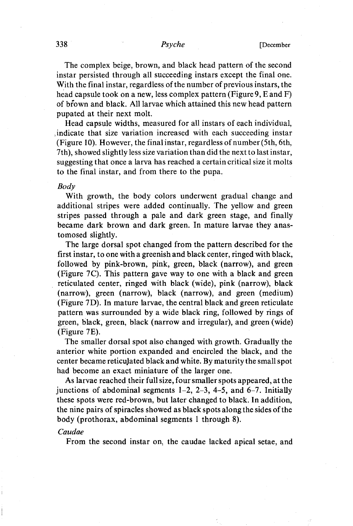The complex beige, brown, and black head pattern of the second instar persisted through all succeeding instars except the final one. With the final instar, regardless of the number of previous instars, the head capsule took on a new, less complex pattern (Figure 9, E and F) of brown and black. All larvae which attained this new head pattern pupated at their next molt.

Head capsule widths, measured for all instars of each individual, ,indicate that size variation increased with each succeeding instar (Figure 10). However, the final instar, regardless of number  $(5th, 6th,$ 7th), showed slightly less size variation than did the next to last instar, suggesting that once a larva has reached a certain critical size it molts to the final instar, and from there to the pupa.

## *Body*

With growth, the body colors underwent gradual change and additional stripes were added continually. The yellow and green stripes passed through a pale and dark green stage, and finally became dark brown and dark green. **In** mature larvae they anastomosed slightly.

The large dorsal spot changed from the pattern described for the first instar, to one with a greenish and black center, ringed with black, followed by pink-brown, pink, green, black (narrow), and green (Figure 7C). This pattern gave way to one with a black and green reticulated center, ringed with black (wide), pink (narrow), black (narrow), green (narrow), black (narrow), and green (medium) (Figure 7D). **In** mature larvae, the central black and green reticulate pattern was surrounded by a wide black ring, followed by rings of green, black, green, black (narrow and irregular), and green (wide) (Figure 7E).

The smaller dorsal spot also changed with growth. Gradually the anterior white portion expanded and encircled the black, and the center became reticu)ated black and white. By maturity the small spot had become an exact miniature of the larger one.

As larvae reached their full size, four smaller spots appeared, at the junctions of abdominal segments  $1-2$ ,  $2-3$ ,  $4-5$ , and  $6-7$ . Initially these spots were red-brown, but later changed to black. **In** addition, the nine pairs of spiracles showed as black spots along the sides of the body (prothorax, abdominal segments 1 through 8).

## *Caudae*

From the second instar on, the caudae lacked apical setae, and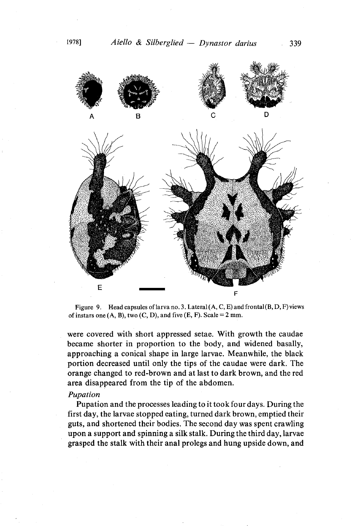

Figure 9. Head capsules of larva no. 3. Lateral  $(A, C, E)$  and frontal  $(B, D, F)$  views of instars one  $(A, B)$ , two  $(C, D)$ , and five  $(E, F)$ . Scale = 2 mm.

were covered with short appressed setae. With growth the caudae became shorter in proportion to the body, and widened basally, approaching a conical shape in large larvae. Meanwhile, the black portion decreased until only the tips of the caudae were dark. The orange changed to red-brown and at last to dark brown, and the red area disappeared from the tip of the abdomen.

## *Pupation*

Pupation and the processes leading to it took four days. During the first day, the larvae stopped eating, turned dark brown, emptied their guts, and shortened their bodies. The second day was spent crawling upon a support and spinning a silk stalk. During the third day, larvae grasped the stalk with their anal prolegs and hung upside down, and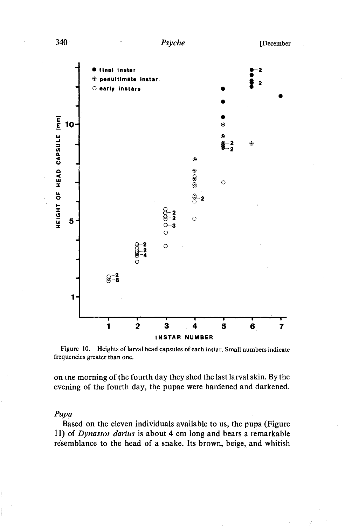



on the morning of the fourth day they shed the last larval skin. By the evening of the fourth day, the pupae were hardened and darkened.

# *Pupa*

Based on the eleven individuals available to us, the pupa (Figure 11) of *Dynastor darius* is about 4 cm long and bears a remarkable resemblance to the head of a snake. Its brown, beige, and whitish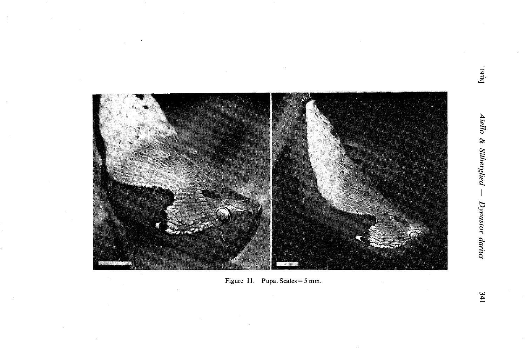



1978]

*Aiello* & *Silberglied* - *Dynastor darius*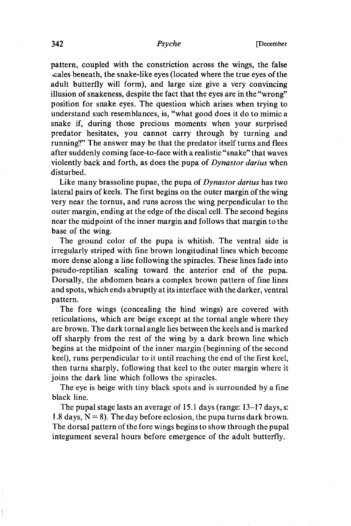pattern, coupled with the constriction across the wings, the false ,cales beneath, the snake-like eyes (located where the true eyes ofthe adult butterfly will form), and large size give a very convincing illusion of snakeness, despite the fact that the eyes are in the "wrong" position for snake eyes. The question which arises when trying to understand such resemblances, is, "what good does it do to mimic a snake if, during those precious moments when your surprised predator hesitates, you cannot carry through by turning and running?" The answer may be that the predator itself turns and flees after suddenly coming face-to-face with a realistic "snake" that waves violently back and forth, as does the pupa of *Dynastor darius* when disturbed.

Like many brassoline pupae, the pupa of *Dynastor darius* has two lateral pairs of keels. The first begins on the outer margin of the wing very near the tornus, and runs across the wing perpendicular to the outer margin, ending at the edge of the discal cell. The second begins near the midpoint of the inner margin and follows that margin to the base of the wing.

The ground color of the pupa is whitish. The ventral side is irregularly striped with fine brown longitudinal lines which become more dense along a line following the spiracles. These lines fade into pseudo-reptilian scaling toward the anterior end of the pupa. Dorsally, the abdomen bears a complex brown pattern of fine lines and spots, which ends abruptly at its interface with the darker, ventral pattern.

The fore wings (concealing the hind wings) are covered with reticulations, which are beige except at the tornal angle where they are brown. The dark tornal angle lies between the keels and is marked off sharply from the rest of the wing by a dark brown line which begins at the midpoint of the inner margin (beginning of the second keel), runs perpendicular to it until reaching the end of the first keel, then turns sharply, following that keel to the outer margin where it joins the dark line which follows the spiracles.

The eye is beige with tiny black spots and is surrounded by a fine black line.

The pupal stage lasts an average of 15.1 days (range: 13-17 days, s: 1.8 days,  $N = 8$ ). The day before eclosion, the pupa turns dark brown. The dorsal pattern of the fore wings begins to show through the pupal integument several hours before emergence of the adult butterfly.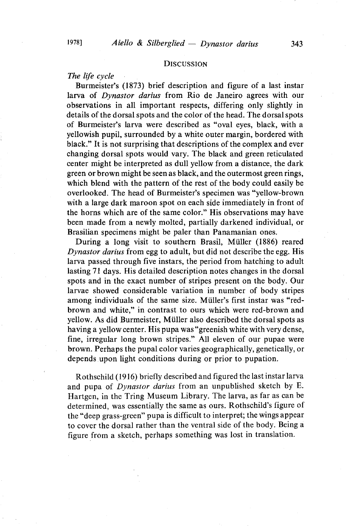# **DISCUSSION**

# *The life cycle*

Burmeister's (1873) brief description and figure of a last instar larva of *Dynastor darius* from Rio de Janeiro agrees with our observations in all important respects, differing only slightly in details of the dorsal spots and the color of the head. The dorsal spots of Burmeister's larva were described as "oval eyes, black, with a yellowish pupil, surrounded by a white outer margin, bordered with black." It is not surprising that descriptions of the complex and ever changing dorsal spots would vary. The black and green reticulated center might be interpreted as dull yellow from a distance, the dark green or brown might be seen as black, and the outermost green rings, which blend with the pattern of the rest of the body could easily be overlooked. The head of Burmeister's specimen was "yellow-brown with a large dark maroon spot on each side immediately in front of the horns which are of the same color." His observations may have been made from a newly molted, partially darkened individual, or Brasilian specimens might be paler than Panamanian ones.

During a long visit to southern Brasil, Müller (1886) reared *Dynastor darius* from egg to adult, but did not describe the egg. His larva passed through five instars, the period from hatching to adult lasting 71 days. His detailed description notes changes in the dorsal spots and in the exact number of stripes present on the body. Our larvae showed considerable variation in number of body stripes among individuals of the same size. Müller's first instar was "redbrown and white," in contrast to ours which were red-brown and yellow. As did Burmeister, Muller also described the dorsal spots as having a yellow center. His pupa was "greenish white with very dense, fine, irregular long brown stripes." All eleven of our pupae were brown. Perhaps the pupal color varies geographically, genetically, or depends upon light conditions during or prior to pupation.

Rothschild (1916) briefly described and figured the last instar larva and pupa of *Dynastor darius* from an unpublished sketch by E. Hartgen, in the Tring Museum Library. The larva, as far as can be determined, was essentially the same as ours. Rothschild's figure of the "deep grass-green" pupa is difficult to interpret; the wings appear to cover the dorsal rather than the ventral side of the body. Being a figure from a sketch, perhaps something was lost in translation.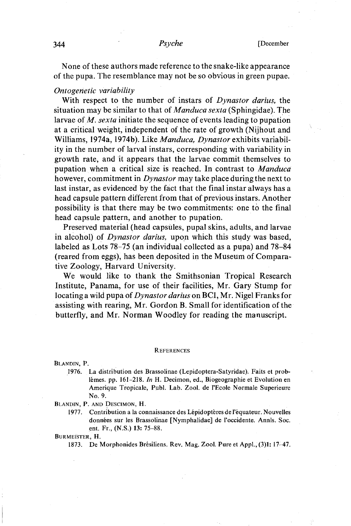None of these authors made reference to the snake-like appearance of the pupa. The resemblance may not be so obvious in green pupae.

#### *Ontogenetic variability*

With respect to the number of instars of *Dynastor darius,* the situation may be similar to that of *Manduca sexta* (Sphingidae). The larvae of M. *sexta* initiate the sequence of events leading to pupation at a critical weight, independent of the rate of growth (Nijhout and Williams, 1974a, 1974b). Like *Manduca, Dynastor* exhibits variability in the number of larval instars, corresponding with variability in growth rate, and it appears that the larvae commit themselves to pupation when a critical size is reached. In contrast to *Manduca* however, commitment in *Dynastor* may take place during the next to last instar, as evidenced by the fact that the final instar always has a head capsule pattern different from that of previous instars. Another possibility is that there may be two commitments: one to the final head capsule pattern, and another to pupation.

Preserved material (head capsules, pupal skins, adults, and larvae in alcohol) of *Dynastor darius*, upon which this study was based, labeled as Lots 78-75 (an individual collected as a pupa) and 78-84 (reared from eggs), has been deposited in the Museum of Comparative Zoology, Harvard University.

We would like to thank the Smithsonian Tropical Research Institute, Panama, for use of their facilities, Mr. Gary Stump for locating a wild pupa of *Dynastor darius* on BCI, Mr. Nigel Franksfor assisting with rearing, Mr. Gordon B. Small for identification of the butterfly, and Mr. Norman Woodley for reading the manuscript.

#### **REFERENCES**

BLANDIN, P.

1976. La distribution des Brassolinae (Lepidoptera-Satyridae). Faits et problemes. pp. 161-218. *In* H. Decimon, ed., Biogeographie et Evolution en Amerique Tropicale, Pub!. Lab. Zoo!. de l'Ecole Normale Superieure No.9.

BLANDIN, P. AND DESCIMON, H.

1977. Contribution a la connaissance des Lépidoptères de l'équateur. Nouvelles données sur les Brassolinae [Nymphalidae] de l'occidente. Annls. Soc. ent. Fr., (N.S.) 13: 75-88.

BURMEISTER, H.

1873. De Morphonides Bresiliens. Rev. Mag. Zoo!. Pure et App!., (3)1: 17-47.